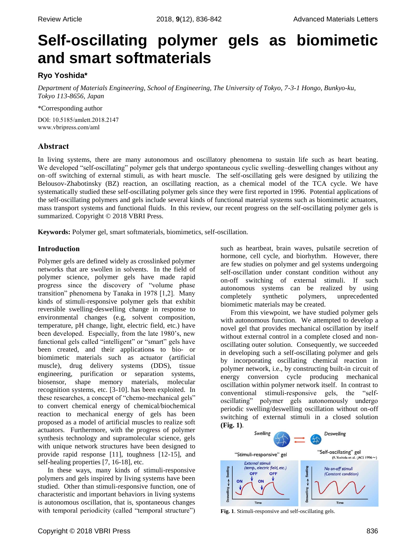# **Self-oscillating polymer gels as biomimetic and smart softmaterials**

## **Ryo Yoshida\***

*Department of Materials Engineering, School of Engineering, The University of Tokyo, 7-3-1 Hongo, Bunkyo-ku, Tokyo 113-8656, Japan*

\*Corresponding author

DOI: 10.5185/amlett.2018.2147 www.vbripress.com/aml

## **Abstract**

In living systems, there are many autonomous and oscillatory phenomena to sustain life such as heart beating. We developed "self-oscillating" polymer gels that undergo spontaneous cyclic swelling–deswelling changes without any on–off switching of external stimuli, as with heart muscle. The self-oscillating gels were designed by utilizing the Belousov-Zhabotinsky (BZ) reaction, an oscillating reaction, as a chemical model of the TCA cycle. We have systematically studied these self-oscillating polymer gels since they were first reported in 1996. Potential applications of the self-oscillating polymers and gels include several kinds of functional material systems such as biomimetic actuators, mass transport systems and functional fluids. In this review, our recent progress on the self-oscillating polymer gels is summarized. Copyright © 2018 VBRI Press.

**Keywords:** Polymer gel, smart softmaterials, biomimetics, self-oscillation.

## **Introduction**

Polymer gels are defined widely as crosslinked polymer networks that are swollen in solvents. In the field of polymer science, polymer gels have made rapid progress since the discovery of "volume phase transition" phenomena by Tanaka in 1978 [1,2]. Many kinds of stimuli-responsive polymer gels that exhibit reversible swelling-deswelling change in response to environmental changes (e.g, solvent composition, temperature, pH change, light, electric field, etc.) have been developed. Especially, from the late 1980's, new functional gels called "intelligent" or "smart" gels have been created, and their applications to bio- or biomimetic materials such as actuator (artificial muscle), drug delivery systems (DDS), tissue engineering, purification or separation systems, biosensor, shape memory materials, molecular recognition systems, etc. [3-10]. has been exploited. In these researches, a concept of "chemo-mechanical gels" to convert chemical energy of chemical/biochemical reaction to mechanical energy of gels has been proposed as a model of artificial muscles to realize soft actuators. Furthermore, with the progress of polymer synthesis technology and supramolecular science, gels with unique network structures have been designed to provide rapid response [11], toughness [12-15], and self-healing properties [7, 16-18], etc.

In these ways, many kinds of stimuli-responsive polymers and gels inspired by living systems have been studied. Other than stimuli-responsive function, one of characteristic and important behaviors in living systems is autonomous oscillation, that is, spontaneous changes with temporal periodicity (called "temporal structure") such as heartbeat, brain waves, pulsatile secretion of hormone, cell cycle, and biorhythm. However, there are few studies on polymer and gel systems undergoing self-oscillation under constant condition without any on-off switching of external stimuli. If such autonomous systems can be realized by using completely synthetic polymers, unprecedented biomimetic materials may be created.

From this viewpoint, we have studied polymer gels with autonomous function. We attempted to develop a novel gel that provides mechanical oscillation by itself without external control in a complete closed and nonoscillating outer solution. Consequently, we succeeded in developing such a self-oscillating polymer and gels by incorporating oscillating chemical reaction in polymer network, i.e., by constructing built-in circuit of energy conversion cycle producing mechanical oscillation within polymer network itself. In contrast to conventional stimuli-responsive gels, the "selfoscillating" polymer gels autonomously undergo periodic swelling/deswelling oscillation without on-off switching of external stimuli in a closed solution **(Fig. 1)**.



**Fig. 1**. Stimuli-responsive and self-oscillating gels.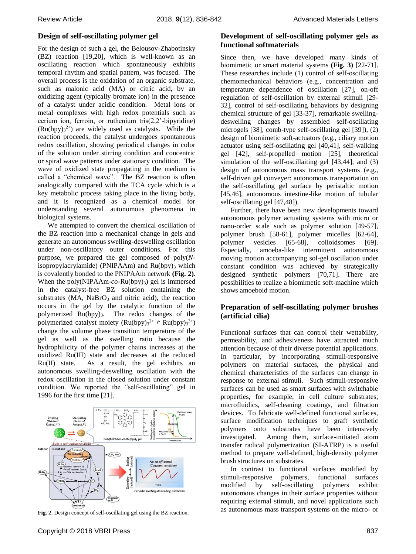#### **Design of self-oscillating polymer gel**

For the design of such a gel, the Belousov-Zhabotinsky (BZ) reaction [19,20], which is well-known as an oscillating reaction which spontaneously exhibits temporal rhythm and spatial pattern, was focused. The overall process is the oxidation of an organic substrate, such as malonic acid (MA) or citric acid, by an oxidizing agent (typically bromate ion) in the presence of a catalyst under acidic condition. Metal ions or metal complexes with high redox potentials such as cerium ion, ferroin, or ruthenium tris(2,2'-bipyridine)  $(Ru(bpy)3^{2+})$  are widely used as catalysts. While the reaction proceeds, the catalyst undergoes spontaneous redox oscillation, showing periodical changes in color of the solution under stirring condition and concentric or spiral wave patterns under stationary condition. The wave of oxidized state propagating in the medium is called a "chemical wave". The BZ reaction is often analogically compared with the TCA cycle which is a key metabolic process taking place in the living body, and it is recognized as a chemical model for understanding several autonomous phenomena in biological systems.

We attempted to convert the chemical oscillation of the BZ reaction into a mechanical change in gels and generate an autonomous swelling-deswelling oscillation under non-oscillatory outer conditions. For this purpose, we prepared the gel composed of poly(*N*isopropylacrylamide) (PNIPAAm) and  $Ru(bpy)_3$  which is covalently bonded to the PNIPAAm network **(Fig. 2)**. When the poly(NIPAAm-*co*-Ru(bpy)<sub>3</sub>) gel is immersed in the catalyst-free BZ solution containing the substrates  $(MA, NaBrO<sub>3</sub>$  and nitric acid), the reaction occurs in the gel by the catalytic function of the polymerized Ru(bpy)<sub>3</sub>. The redox changes of the polymerized catalyst moiety  $(Ru(bpy)3^{2+} \geq Ru(bpy)3^{3+})$ change the volume phase transition temperature of the gel as well as the swelling ratio because the hydrophilicity of the polymer chains increases at the oxidized Ru(III) state and decreases at the reduced Ru(II) state. As a result, the gel exhibits an autonomous swelling-deswelling oscillation with the redox oscillation in the closed solution under constant condition. We reported the "self-oscillating" gel in 1996 for the first time [21].



**Fig. 2**. Design concept of self-oscillating gel using the BZ reaction.

## **Development of self-oscillating polymer gels as functional softmaterials**

Since then, we have developed many kinds of biomimetic or smart material systems **(Fig. 3)** [22-71]. These researches include (1) control of self-oscillating chemomechanical behaviors (e.g., concentration and temperature dependence of oscillation [27], on-off regulation of self-oscillation by external stimuli [29- 32], control of self-oscillating behaviors by designing chemical structure of gel [33-37], remarkable swellingdeswelling changes by assembled self-oscillating microgels [38], comb-type self-oscillating gel [39]), (2) design of biomimetic soft-actuators (e.g., ciliary motion actuator using self-oscillating gel [40,41], self-walking gel [42], self-propelled motion [25], theoretical simulation of the self-oscillaiting gel [43,44], and (3) design of autonomous mass transport systems (e.g., self-driven gel conveyer: autonomous transportation on the self-oscillating gel surface by peristaltic motion [45,46], autonomous intestine-like motion of tubular self-oscillating gel [47,48]).

Further, there have been new developments toward autonomous polymer actuating systems with micro or nano-order scale such as polymer solution [49-57], polymer brush [58-61], polymer micelles [62-64], polymer vesicles [65-68], colloidsomes [69]. Especially, amoeba-like intermittent autonomous moving motion accompanying sol-gel oscillation under constant condition was achieved by strategically designed synthetic polymers [70,71]. There are possibilities to realize a biomimetic soft-machine which shows amoeboid motion.

## **Preparation of self-oscillating polymer brushes (artificial cilia)**

Functional surfaces that can control their wettability, permeability, and adhesiveness have attracted much attention because of their diverse potential applications. In particular, by incorporating stimuli-responsive polymers on material surfaces, the physical and chemical characteristics of the surfaces can change in response to external stimuli. Such stimuli-responsive surfaces can be used as smart surfaces with switchable properties, for example, in cell culture substrates, microfluidics, self-cleaning coatings, and filtration devices. To fabricate well-defined functional surfaces, surface modification techniques to graft synthetic polymers onto substrates have been intensively investigated. Among them, surface-initiated atom transfer radical polymerization (SI-ATRP) is a useful method to prepare well-defined, high-density polymer brush structures on substrates.

In contrast to functional surfaces modified by stimuli-responsive polymers, functional surfaces modified by self-oscillating polymers exhibit autonomous changes in their surface properties without requiring external stimuli, and novel applications such as autonomous mass transport systems on the micro- or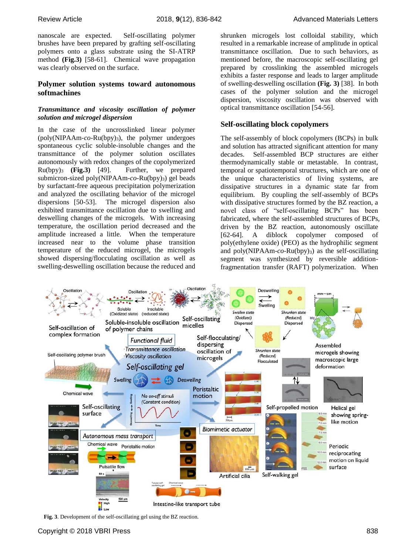nanoscale are expected. Self-oscillating polymer brushes have been prepared by grafting self-oscillating polymers onto a glass substrate using the SI-ATRP method **(Fig.3)** [58-61]. Chemical wave propagation was clearly observed on the surface.

#### **Polymer solution systems toward autonomous softmachines**

#### *Transmittance and viscosity oscillation of polymer solution and microgel dispersion*

In the case of the uncrosslinked linear polymer (poly(NIPAAm-*co*-Ru(bpy)3), the polymer undergoes spontaneous cyclic soluble-insoluble changes and the transmittance of the polymer solution oscillates autonomously with redox changes of the copolymerized Ru(bpy)<sup>3</sup> **(Fig.3)** [49]. Further, we prepared submicron-sized poly(NIPAAm-*co*-Ru(bpy)<sub>3</sub>) gel beads by surfactant-free aqueous precipitation polymerization and analyzed the oscillating behavior of the microgel dispersions [50-53]. The microgel dispersion also exhibited transmittance oscillation due to swelling and deswelling changes of the microgels. With increasing temperature, the oscillation period decreased and the amplitude increased a little. When the temperature increased near to the volume phase transition temperature of the reduced microgel, the microgels showed dispersing/flocculating oscillation as well as swelling-deswelling oscillation because the reduced and

shrunken microgels lost colloidal stability, which resulted in a remarkable increase of amplitude in optical transmittance oscillation. Due to such behaviors, as mentioned before, the macroscopic self-oscillating gel prepared by crosslinking the assembled microgels exhibits a faster response and leads to larger amplitude of swelling-deswelling oscillation **(Fig. 3)** [38]. In both cases of the polymer solution and the microgel dispersion, viscosity oscillation was observed with optical transmittance oscillation [54-56].

#### **Self-oscillating block copolymers**

The self-assembly of block copolymers (BCPs) in bulk and solution has attracted significant attention for many decades. Self-assembled BCP structures are either thermodynamically stable or metastable. In contrast, temporal or spatiotemporal structures, which are one of the unique characteristics of living systems, are dissipative structures in a dynamic state far from equilibrium. By coupling the self-assembly of BCPs with dissipative structures formed by the BZ reaction, a novel class of "self-oscillating BCPs" has been fabricated, where the self-assembled structures of BCPs, driven by the BZ reaction, autonomously oscillate [62-64]. A diblock copolymer composed of poly(ethylene oxide) (PEO) as the hydrophilic segment and poly(NIPAAm- $co$ -Ru(bpy)<sub>3</sub>) as the self-oscillating segment was synthesized by reversible additionfragmentation transfer (RAFT) polymerization. When



**Fig. 3**. Development of the self-oscillating gel using the BZ reaction.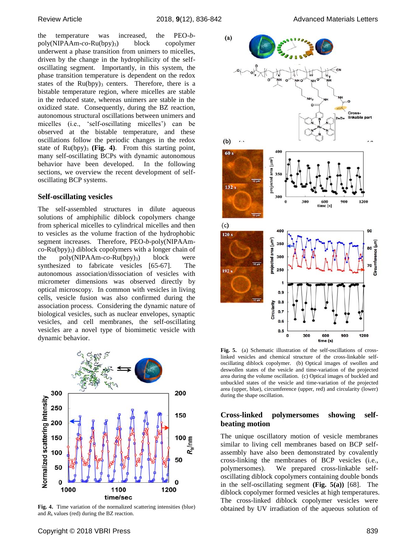$(a)$ 

the temperature was increased, the PEO-*b*poly(NIPAAm-*co*-Ru(bpy)3) block copolymer underwent a phase transition from unimers to micelles, driven by the change in the hydrophilicity of the selfoscillating segment. Importantly, in this system, the phase transition temperature is dependent on the redox states of the  $Ru(bpy)$ <sub>3</sub> centers. Therefore, there is a bistable temperature region, where micelles are stable in the reduced state, whereas unimers are stable in the oxidized state. Consequently, during the BZ reaction, autonomous structural oscillations between unimers and micelles (i.e., 'self-oscillating micelles') can be observed at the bistable temperature, and these oscillations follow the periodic changes in the redox state of Ru(bpy)<sup>3</sup> **(Fig. 4)**. From this starting point, many self-oscillating BCPs with dynamic autonomous behavior have been developed. In the following sections, we overview the recent development of selfoscillating BCP systems.

#### **Self-oscillating vesicles**

The self-assembled structures in dilute aqueous solutions of amphiphilic diblock copolymers change from spherical micelles to cylindrical micelles and then to vesicles as the volume fraction of the hydrophobic segment increases. Therefore, PEO-*b*-poly(NIPAAm*co*-Ru(bpy)3) diblock copolymers with a longer chain of the poly(NIPAAm-*co*-Ru(bpy)<sub>3</sub>) block were synthesized to fabricate vesicles [65-67]. The autonomous association/dissociation of vesicles with micrometer dimensions was observed directly by optical microscopy. In common with vesicles in living cells, vesicle fusion was also confirmed during the association process. Considering the dynamic nature of biological vesicles, such as nuclear envelopes, synaptic vesicles, and cell membranes, the self-oscillating vesicles are a novel type of biomimetic vesicle with dynamic behavior.



**Fig. 4.** Time variation of the normalized scattering intensities (blue) and  $R<sub>h</sub>$  values (red) during the BZ reaction.



**Fig. 5.** (a) Schematic illustration of the self-oscillations of crosslinked vesicles and chemical structure of the cross-linkable selfoscillating diblock copolymer. (b) Optical images of swollen and deswollen states of the vesicle and time-variation of the projected area during the volume oscillation. (c) Optical images of buckled and unbuckled states of the vesicle and time-variation of the projected area (upper, blue), circumference (upper, red) and circularity (lower) during the shape oscillation.

### **Cross-linked polymersomes showing selfbeating motion**

The unique oscillatory motion of vesicle membranes similar to living cell membranes based on BCP selfassembly have also been demonstrated by covalently cross-linking the membranes of BCP vesicles (i.e., polymersomes). We prepared cross-linkable selfoscillating diblock copolymers containing double bonds in the self-oscillating segment **(Fig. 5(a))** [68]. The diblock copolymer formed vesicles at high temperatures. The cross-linked diblock copolymer vesicles were obtained by UV irradiation of the aqueous solution of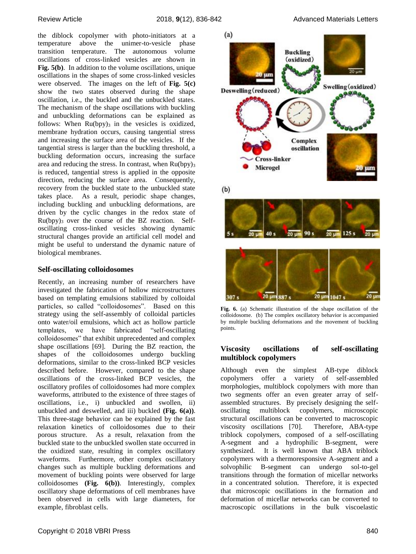$(a)$ **Buckling** (oxidized)  $20 \text{ µm}$ Swelling (oxidized) Deswelling (reduced) **Complex** oscillation **Cross-linker** Microgel  $(b)$  $90 s$  $125s$  $40s$  $2011$ 20 20

**Fig. 6.** (a) Schematic illustration of the shape oscillation of the colloidosome. (b) The complex oscillatory behavior is accompanied by multiple buckling deformations and the movement of buckling points.

## **Viscosity oscillations of self-oscillating multiblock copolymers**

Although even the simplest AB-type diblock copolymers offer a variety of self-assembled morphologies, multiblock copolymers with more than two segments offer an even greater array of selfassembled structures. By precisely designing the selfoscillating multiblock copolymers, microscopic structural oscillations can be converted to macroscopic viscosity oscillations [70]. Therefore, ABA-type triblock copolymers, composed of a self-oscillating A-segment and a hydrophilic B-segment, were synthesized. It is well known that ABA triblock copolymers with a thermoresponsive A-segment and a solvophilic B-segment can undergo sol-to-gel transitions through the formation of micellar networks in a concentrated solution. Therefore, it is expected that microscopic oscillations in the formation and deformation of micellar networks can be converted to macroscopic oscillations in the bulk viscoelastic

the diblock copolymer with photo-initiators at a temperature above the unimer-to-vesicle phase transition temperature. The autonomous volume oscillations of cross-linked vesicles are shown in **Fig. 5(b)**. In addition to the volume oscillations, unique oscillations in the shapes of some cross-linked vesicles were observed. The images on the left of **Fig. 5(c)** show the two states observed during the shape oscillation, i.e., the buckled and the unbuckled states. The mechanism of the shape oscillations with buckling and unbuckling deformations can be explained as follows: When  $Ru(bpy)_3$  in the vesicles is oxidized, membrane hydration occurs, causing tangential stress and increasing the surface area of the vesicles. If the tangential stress is larger than the buckling threshold, a buckling deformation occurs, increasing the surface area and reducing the stress. In contrast, when  $Ru(bpy)_{3}$ is reduced, tangential stress is applied in the opposite direction, reducing the surface area. Consequently, recovery from the buckled state to the unbuckled state takes place. As a result, periodic shape changes, including buckling and unbuckling deformations, are driven by the cyclic changes in the redox state of  $Ru(bpy)$ <sub>3</sub> over the course of the BZ reaction. Selfoscillating cross-linked vesicles showing dynamic structural changes provide an artificial cell model and might be useful to understand the dynamic nature of biological membranes.

### **Self-oscillating colloidosomes**

Recently, an increasing number of researchers have investigated the fabrication of hollow microstructures based on templating emulsions stabilized by colloidal particles, so called "colloidosomes". Based on this strategy using the self-assembly of colloidal particles onto water/oil emulsions, which act as hollow particle templates, we have fabricated "self-oscillating colloidosomes" that exhibit unprecedented and complex shape oscillations [69]. During the BZ reaction, the shapes of the colloidosomes undergo buckling deformations, similar to the cross-linked BCP vesicles described before. However, compared to the shape oscillations of the cross-linked BCP vesicles, the oscillatory profiles of colloidosomes had more complex waveforms, attributed to the existence of three stages of oscillations, i.e., i) unbuckled and swollen, ii) unbuckled and deswelled, and iii) buckled **(Fig. 6(a))**. This three-stage behavior can be explained by the fast relaxation kinetics of colloidosomes due to their porous structure. As a result, relaxation from the buckled state to the unbuckled swollen state occurred in the oxidized state, resulting in complex oscillatory waveforms. Furthermore, other complex oscillatory changes such as multiple buckling deformations and movement of buckling points were observed for large colloidosomes **(Fig. 6(b))**. Interestingly, complex oscillatory shape deformations of cell membranes have been observed in cells with large diameters, for example, fibroblast cells.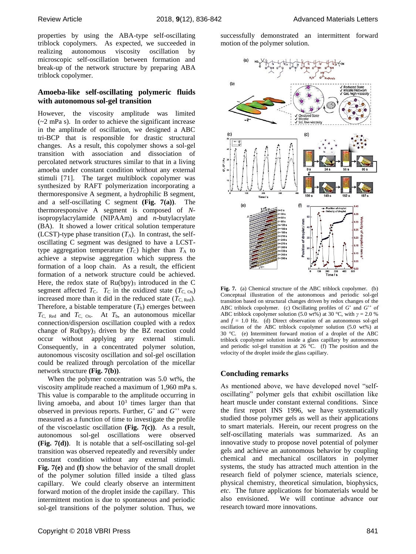properties by using the ABA-type self-oscillating triblock copolymers. As expected, we succeeded in realizing autonomous viscosity oscillation by microscopic self-oscillation between formation and break-up of the network structure by preparing ABA triblock copolymer.

#### **Amoeba-like self-oscillating polymeric fluids with autonomous sol-gel transition**

However, the viscosity amplitude was limited (~2 mPa s). In order to achieve the significant increase in the amplitude of oscillation, we designed a ABC tri-BCP that is responsible for drastic structural changes. As a result, this copolymer shows a sol-gel transition with association and dissociation of percolated network structures similar to that in a living amoeba under constant condition without any external stimuli [71]. The target multiblock copolymer was synthesized by RAFT polymerization incorporating a thermoresponsive A segment, a hydrophilic B segment, and a self-oscillating C segment **(Fig. 7(a))**. The thermoresponsive A segment is composed of *N*isopropylacrylamide (NIPAAm) and *n*-butylacrylate (BA). It showed a lower critical solution temperature (LCST)-type phase transition  $(T_A)$ . In contrast, the selfoscillating C segment was designed to have a LCSTtype aggregation temperature  $(T_C)$  higher than  $T_A$  to achieve a stepwise aggregation which suppress the formation of a loop chain. As a result, the efficient formation of a network structure could be achieved. Here, the redox state of  $Ru(bpy)_3$  introduced in the C segment affected  $T_C$ .  $T_C$  in the oxidized state  $(T_{C, Ox})$ increased more than it did in the reduced state  $(T_{C, Red})$ . Therefore, a bistable temperature  $(T<sub>b</sub>)$  emerges between *T*C, Red and *T*C, Ox. At *T*b, an autonomous micellar connection/dispersion oscillation coupled with a redox change of  $Ru(bpy)$ <sub>3</sub> driven by the BZ reaction could occur without applying any external stimuli. Consequently, in a concentrated polymer solution, autonomous viscosity oscillation and sol-gel oscillation could be realized through percolation of the micellar network structure **(Fig. 7(b))**.

When the polymer concentration was 5.0 wt%, the viscosity amplitude reached a maximum of 1,960 mPa s. This value is comparable to the amplitude occurring in living amoeba, and about  $10<sup>3</sup>$  times larger than that observed in previous reports. Further, *G*' and *G*'' were measured as a function of time to investigate the profile of the viscoelastic oscillation **(Fig. 7(c))**. As a result, autonomous sol-gel oscillations were observed **(Fig. 7(d))**. It is notable that a self-oscillating sol-gel transition was observed repeatedly and reversibly under constant condition without any external stimuli. **Fig. 7(e)** and **(f)** show the behavior of the small droplet of the polymer solution filled inside a tilted glass capillary. We could clearly observe an intermittent forward motion of the droplet inside the capillary. This intermittent motion is due to spontaneous and periodic sol-gel transitions of the polymer solution. Thus, we

successfully demonstrated an intermittent forward motion of the polymer solution.



**Fig. 7.** (a) Chemical structure of the ABC triblock copolymer. (b) Conceptual illustration of the autonomous and periodic sol-gel transition based on structural changes driven by redox changes of the ABC triblock copolymer. (c) Oscillating profiles of *G*' and *G*'' of ABC triblock copolymer solution (5.0 wt%) at 30 °C, with  $\gamma = 2.0$  % and  $f = 1.0$  Hz. (d) Direct observation of an autonomous sol-gel oscillation of the ABC triblock copolymer solution (5.0 wt%) at 30 °C. (e) Intermittent forward motion of a droplet of the ABC triblock copolymer solution inside a glass capillary by autonomous and periodic sol-gel transition at 26 °C. (f) The position and the velocity of the droplet inside the glass capillary.

## **Concluding remarks**

As mentioned above, we have developed novel "selfoscillating" polymer gels that exhibit oscillation like heart muscle under constant external conditions. Since the first report INS 1996, we have systematically studied those polymer gels as well as their applications to smart materials. Herein, our recent progress on the self-oscillating materials was summarized. As an innovative study to propose novel potential of polymer gels and achieve an autonomous behavior by coupling chemical and mechanical oscillators in polymer systems, the study has attracted much attention in the research field of polymer science, materials science, physical chemistry, theoretical simulation, biophysics, *etc*. The future applications for biomaterials would be also envisioned. We will continue advance our research toward more innovations.